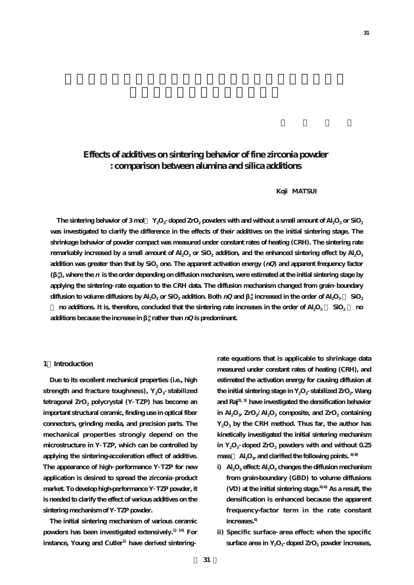# **Effects of additives on sintering behavior of fine zirconia powder : comparison between alumina and silica additions**

# **Koji MATSUI**

The sintering behavior of 3 mol  $Y_2O_3$  doped ZrO<sub>2</sub> powders with and without a small amount of Al<sub>2</sub>O<sub>3</sub> or SiO<sub>2</sub> **was investigated to clarify the difference in the effects of their additives on the initial sintering stage. The shrinkage behavior of powder compact was measured under constant rates of heating (CRH). The sintering rate remarkably increased by a small amount of Al<sub>2</sub>O<sub>3</sub> or SiO<sub>2</sub> addition, and the enhanced sintering effect by Al<sub>2</sub>O<sub>3</sub>** addition was greater than that by SiO<sub>2</sub> one. The apparent activation energy ( $nQ$ ) and apparent frequency factor  $\binom{n}{0}$ , where the  $n$  is the order depending on diffusion mechanism, were estimated at the initial sintering stage by **applying the sintering rate equation to the CRH data. The diffusion mechanism changed from grain boundary diffusion to volume diffusions by Al2O3 or SiO2 addition. Both nQ and β0 <sup>n</sup> increased in the order of Al2O3 SiO2**

**no additions.** It is, therefore, concluded that the sintering rate increases in the order of Al<sub>2</sub>O<sub>3</sub> **SiO<sub>2</sub> D additions** because the increase in  $\frac{n}{0}$  rather than  $nQ$  is predominant.

### **1.Introduction**

**Due to its excellent mechanical properties (i.e., high** strength and fracture toughness), Y<sub>2</sub>O<sub>3</sub> stabilized tetragonal ZrO<sub>2</sub> polycrystal (Y TZP) has become an **important structural ceramic, finding use in optical fiber connectors, grinding media, and precision parts. The mechanical properties strongly depend on the microstructure in Y TZP, which can be controlled by applying the sintering-acceleration effect of additive. The appearance of high performance Y TZP for new application is desired to spread the zirconia product market. To develop high-performance Y TZP powder, it is needed to clarify the effect of various additives on the sintering mechanism of Y TZP powder.**

**The initial sintering mechanism of various ceramic powders has been investigated extensively.1) 14) For instance, Young and Cutler1) have derived sintering**

**rate equations that is applicable to shrinkage data measured under constant rates of heating (CRH), and estimated the activation energy for causing diffusion at** the initial sintering stage in  $Y_2O_3$  stabilized  $ZrO_2$ . Wang **and Raj2), 3) have investigated the densification behavior** in Al<sub>2</sub>O<sub>3</sub>, ZrO<sub>2</sub>/Al<sub>2</sub>O<sub>3</sub> composite, and ZrO<sub>2</sub> containing  $Y_2O_3$  by the CRH method. Thus far, the author has **kinetically investigated the initial sintering mechanism** in  $Y_2O_3$  doped  $ZrO_2$  powders with and without  $0.25$ mass Al<sub>2</sub>O<sub>3</sub>, and clarified the following points.  $4-8$ 

- **i) Al2O3 effect: Al2O3 changes the diffusion mechanism from grain-boundary (GBD) to volume diffusions (VD) at the initial sintering stage.4)-6) As a result, the densification is enhanced because the apparent frequency-factor term in the rate constant increases.6)**
- **ii) Specific surface area effect: when the specific** surface area in Y<sub>2</sub>O<sub>3</sub> doped ZrO<sub>2</sub> powder increases,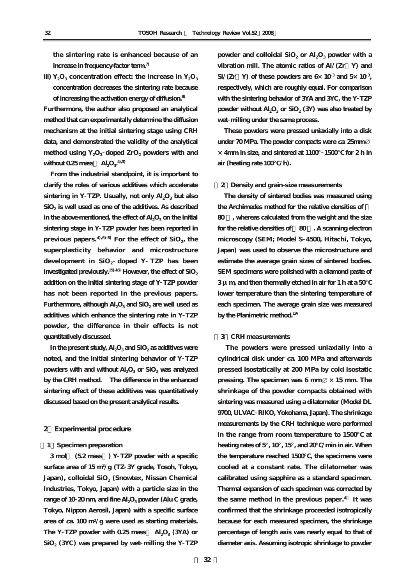**the sintering rate is enhanced because of an increase in frequency-factor term.7)**

iii)  $Y_2O_3$  concentration effect: the increase in  $Y_2O_3$ **concentration decreases the sintering rate because**

**of increasing the activation energy of diffusion.8) Furthermore, the author also proposed an analytical method that can experimentally determine the diffusion mechanism at the initial sintering stage using CRH data, and demonstrated the validity of the analytical** method using Y<sub>2</sub>O<sub>3</sub> doped ZrO<sub>2</sub> powders with and without  $0.25$  mass  $\mathrm{Al}_2\mathrm{O}_3^{-4,5}$ 

**From the industrial standpoint, it is important to clarify the roles of various additives which accelerate** sintering in Y TZP. Usually, not only  $Al_2O_3$  but also **SiO2 is well used as one of the additives. As described** in the above-mentioned, the effect of Al<sub>2</sub>O<sub>3</sub> on the initial **sintering stage in Y TZP powder has been reported in** previous papers.  $4^{,6}$ ,  $8$ <sup>B</sup> For the effect of SiO<sub>2</sub>, the **superplasticity behavior and microstructure development in SiO2 doped Y TZP has been**  $i$ nvestigated previously.<sup>15-18</sup> However, the effect of  $SiO<sub>2</sub>$ **addition on the initial sintering stage of Y TZP powder has not been reported in the previous papers.** Furthermore, although Al<sub>2</sub>O<sub>3</sub> and SiO<sub>2</sub> are well used as **additives which enhance the sintering rate in Y TZP powder, the difference in their effects is not quantitatively discussed.**

In the present study,  $\text{Al}_2\text{O}_3$  and  $\text{SiO}_2$  as additives were **noted, and the initial sintering behavior of Y TZP** powders with and without  $\text{Al}_2\text{O}_3$  or SiO<sub>2</sub> was analyzed **by the CRH method. The difference in the enhanced sintering effect of these additives was quantitatively discussed based on the present analytical results.**

### **2.Experimental procedure**

## **[1]Specimen preparation**

**3 mol% (5.2 mass%) Y TZP powder with a specific surface area of 15 m2 /g (TZ 3Y grade, Tosoh, Tokyo,** Japan), colloidal SiO<sub>2</sub> (Snowtex, Nissan Chemical **Industries, Tokyo, Japan) with a particle size in the range of 10 20 nm, and fine Al<sub>2</sub>O<sub>3</sub> powder (Alu C grade, Tokyo, Nippon Aerosil, Japan) with a specific surface area of ca. 100 m2/g were used as starting materials.** The Y **TZP** powder with  $0.25$  mass Al<sub>2</sub>O<sub>3</sub> (3YA) or **SiO2 (3YC) was prepared by wet milling the Y TZP**

powder and colloidal  $SiO<sub>2</sub>$  or  $Al<sub>2</sub>O<sub>3</sub>$  powder with a **vibration mill. The atomic ratios of Al/(Zr+Y) and**  $\text{Si}/(\text{Zr} \text{Y})$  of these powders are  $6 \times 10^3$  and  $5 \times 10^3$ , **respectively, which are roughly equal. For comparison with the sintering behavior of 3YA and 3YC, the Y TZP** powder without  $\text{Al}_2\text{O}_3$  or  $\text{SiO}_2$  (3Y) was also treated by **wet milling under the same process.**

**These powders were pressed uniaxially into a disk under 70 MPa. The powder compacts were ca. 25mm ×4mm in size, and sintered at 1100°1500℃ for 2 h in air (heating rate 100℃/h).**

### **[2]Density and grain-size measurements**

**The density of sintered bodies was measured using the Archimedes method for the relative densities of > 80 %, whereas calculated from the weight and the size** for the relative densities of 80 . A scanning electron **microscopy (SEM; Model S 4500, Hitachi, Tokyo, Japan) was used to observe the microstructure and estimate the average grain sizes of sintered bodies. SEM specimens were polished with a diamond paste of 3 μm, and then thermally etched in air for 1 h at a 50℃ lower temperature than the sintering temperature of each specimen. The average grain size was measured by the Planimetric method.19)**

#### **[3]CRH measurements**

**The powders were pressed uniaxially into a cylindrical disk under ca. 100 MPa and afterwards pressed isostatically at 200 MPa by cold isostatic** pressing. The specimen was  $6 \text{ mm} \varnothing \times 15 \text{ mm}$ . The **shrinkage of the powder compacts obtained with sintering was measured using a dilatometer (Model DL 9700, ULVAC RIKO, Yokohama, Japan). The shrinkage measurements by the CRH technique were performed in the range from room temperature to 1500℃ at heating rates of 5°, 10°, 15°, and 20℃/min in air. When the temperature reached 1500℃, the specimens were cooled at a constant rate. The dilatometer was calibrated using sapphire as a standard specimen. Thermal expansion of each specimen was corrected by the same method in the previous paper. 4) It was confirmed that the shrinkage proceeded isotropically because for each measured specimen, the shrinkage percentage of length axis was nearly equal to that of diameter axis. Assuming isotropic shrinkage to powder**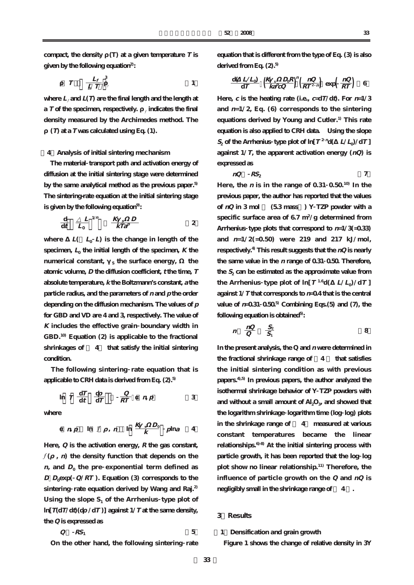compact, the density  $(T)$  at a given temperature  $T$  is **given by the following equation2):**

$$
T = \frac{L_f}{L T} \Big|_{\ell}^3
$$

where  $L_f$  and  $L(T)$  are the final length and the length at **a** *T* **of the specimen, respectively. producted the final density measured by the Archimedes method. The**

 $(T)$  at a  $T$  was calculated using Eq.  $(1)$ .

## **[4]Analysis of initial sintering mechanism**

**The material transport path and activation energy of diffusion at the initial sintering stage were determined by the same analytical method as the previous paper.5) The sintering-rate equation at the initial sintering stage is given by the following equation9):**

$$
\frac{\mathrm{d}}{\mathrm{d}t} \quad \frac{L}{L_0} \quad \frac{1}{m} \quad \frac{K \quad s \quad D}{kT a^p} \qquad \qquad 2
$$

where  $L(L_0 L)$  is the change in length of the specimen,  $L_0$  the initial length of the specimen,  $K$  the **numerical constant,** s the surface energy, the **atomic volume, D the diffusion coefficient, <sup>t</sup> the time, T absolute temperature, k the Boltzmann's constant, <sup>a</sup> the particle radius, and the parameters of <sup>n</sup> and p the order depending on the diffusion mechanism. The values of p for GBD and VD are 4 and 3, respectively. The value of K includes the effective grain boundary width in GBD.10) Equation (2) is applicable to the fractional shrinkages of < 4% that satisfy the initial sintering condition.**

**The following sintering rate equation that is applicable to CRH data is derived from Eq. (2).5)**

$$
\ln T \frac{dT}{dt} \frac{d}{dT} \frac{Q}{RT} \eta p
$$
 3

**where**

$$
np \quad \ln f \quad , \ n \quad \ln \frac{K \cdot s D_0}{k} \quad p \ln a \quad 4
$$

**Here, Q is the activation energy, R the gas constant,**  $f(\cdot, \mathbf{n})$  the density function that depends on the  $n$ , and  $D_0$  the pre exponential term defined as  $D$   $D_0$ exp( $Q/RT$ ). Equation (3) corresponds to the **sintering rate equation derived by Wang and Raj.2)** Using the slope  $S_1$  of the Arrhenius type plot of  $\ln[T(dT/dt)(dT/dT)]$  against  $1/T$  at the same density, **the Q is expressed as**

$$
Q \t RS_1 \t 5
$$

**On the other hand, the following sintering rate**

**equation that is different from the type of Eq. (3) is also derived from Eq. (2).5)**

$$
\frac{\mathrm{d}(L/L_0)}{\mathrm{d}T} \left(\frac{K_s}{k a^P C Q}\right)^n \left(\frac{n Q}{R T^{2 n}}\right) \exp\left(\frac{n Q}{R T}\right) \quad 6
$$

**Here,** *c* is the heating rate (i.e.,  $c = dT/dt$ ). For  $n=1/3$ and  $n=1/2$ , Eq. (6) corresponds to the sintering **equations derived by Young and Cutler.1) This rate equation is also applied to CRH data. Using the slope**  $S_2$  of the Arrhenius **type plot of ln**[ $T^2$ <sup>n</sup>d( $L/L_0$ )/dT] against  $1/T$ , the apparent activation energy  $(nQ)$  is **expressed as**

 $nQ$   $RS_2$  **7** 

**Here, the <sup>n</sup> is in the range of 0.31 0.50.10) In the previous paper, the author has reported that the values** of  $nQ$  in 3 mol  $(53 \text{ mass})$  Y TZP powder with a **specific surface area of 6.7 m<sup>2</sup> /g determined from Arrhenius type plots that correspond to n=1/3(=0.33) and n=1/2(=0.50) were 219 and 217 kJ/mol, respectively.4) This result suggests that the nQ is nearly the same value in the <sup>n</sup> range of 0.31 0.50. Therefore,** the  $S_2$  can be estimated as the approximate value from **the Arrhenius type plot of ln[** $T^{1.6}d(-L/L_0)/dT$ **] against 1/T that corresponds to n=0.4 that is the central value of**  $n=0.31 \ 0.50^5$  **Combining Eqs. (5) and (7), the following equation is obtained5):**

$$
n \quad \frac{nQ}{Q} \quad \frac{S_2}{S_1} \tag{8}
$$

**In the present analysis, the Q and <sup>n</sup> were determined in the fractional shrinkage range of <4 % that satisfies the initial sintering condition as with previous papers.4),5) In previous papers, the author analyzed the isothermal shrinkage behavior of Y TZP powders with** and without a small amount of Al<sub>2</sub>O<sub>3</sub>, and showed that **the logarithm shrinkage logarithm time (log log) plots in the shrinkage range of < 4% measured at various constant temperatures became the linear relationships.6)-8) At the initial sintering process with particle growth, it has been reported that the log log plot show no linear relationship.11) Therefore, the influence of particle growth on the Q and nQ is negligibly small in the shrinkage range of < 4 %.**

# **3.Results**

**[1]Densification and grain growth**

**Figure 1 shows the change of relative density in 3Y**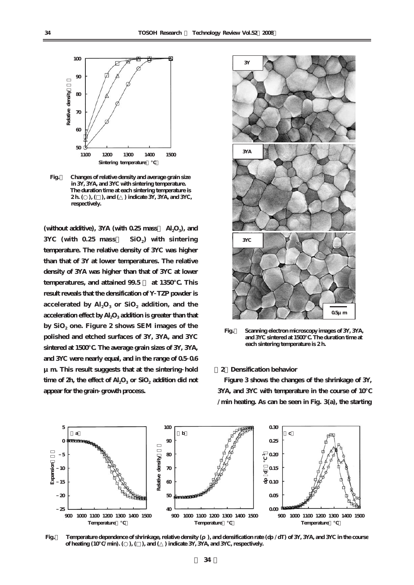

**Fig.1 Changes of relative density and average grain size in 3Y, 3YA, and 3YC with sintering temperature. The duration time at each sintering temperature is 2 h. (○), (□), and (△) indicate 3Y, 3YA, and 3YC, respectively.** 

(without additive), 3YA (with 0.25 mass Al<sub>2</sub>O<sub>3</sub>), and **3YC** (with 0.25 mass SiO<sub>2</sub>) with sintering **temperature. The relative density of 3YC was higher than that of 3Y at lower temperatures. The relative density of 3YA was higher than that of 3YC at lower** temperatures, and attained 99.5 at 1350 . This **result reveals that the densification of Y TZP powder is** accelerated by  $\text{Al}_2\text{O}_3$  or  $\text{SiO}_2$  addition, and the **acceleration effect by Al2O3 addition is greater than that by SiO2 one. Figure 2 shows SEM images of the polished and etched surfaces of 3Y, 3YA, and 3YC** sintered at 1500  $\,$ . The average grain sizes of 3Y, 3YA, **and 3YC were nearly equal, and in the range of 0.5 0.6 μm. This result suggests that at the sintering hold** time of  $2h$ , the effect of  $Al_2O_3$  or  $SiO_2$  addition did not **appear for the grain growth process.**



**Fig.2 Scanning electron microscopy images of 3Y, 3YA, and 3YC sintered at 1500℃. The duration time at each sintering temperature is 2 h.** 

#### **[2]Densification behavior**

**Figure 3 shows the changes of the shrinkage of 3Y, 3YA, and 3YC with temperature in the course of 10℃ /min heating. As can be seen in Fig. 3(a), the starting**



**Fig.** Temperature dependence of shrinkage, relative density (), and densification rate (d /dT) of 3Y, 3YA, and 3YC in the course  $\alpha$  of heating (10  $\alpha$ /min). ( ), ( ), and ( ) indicate 3Y, 3YA, and 3YC, respectively.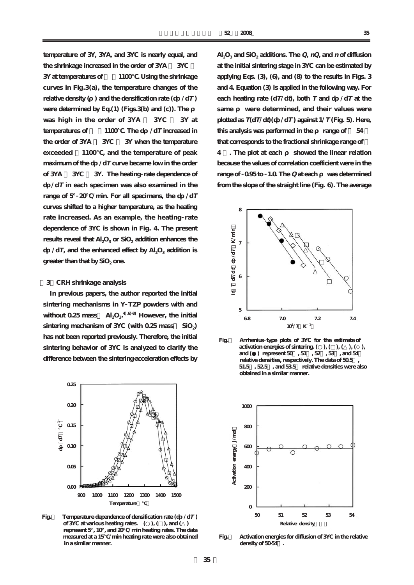**temperature of 3Y, 3YA, and 3YC is nearly equal, and the shrinkage increased in the order of 3YA > 3YC > 3Y** at temperatures of  $1100$ . Using the shrinkage **curves in Fig.3(a), the temperature changes of the relative density (**) and the densification rate  $(d \angle dT)$ were determined by Eq.(1) (Figs.3(b) and (c)). The **was high in the order of 3YA > 3YC > 3Y at temperatures of**  $1100$ **. The d** /d*T* increased in **the order of 3YA > 3YC > 3Y when the temperature exceeded ~1100℃, and the temperature of peak maximum of the d** /d*T* curve became low in the order **of 3YA < 3YC < 3Y. The heating rate dependence of dρ/dT in each specimen was also examined in the** range of 5°20 /min. For all specimens, the d /d*T* **curves shifted to a higher temperature, as the heating rate increased. As an example, the heating rate dependence of 3YC is shown in Fig. 4. The present results reveal that Al<sub>2</sub>O<sub>3</sub> or SiO<sub>2</sub> addition enhances the d** /**dT**, and the enhanced effect by Al<sub>2</sub>O<sub>3</sub> addition is greater than that by SiO<sub>2</sub> one.

### **[3]CRH shrinkage analysis**

**In previous papers, the author reported the initial sintering mechanisms in Y TZP powders with and** without  $0.25$  mass  $\mathrm{Al}_2\mathrm{O}_3$ <sup>-4,6-8</sup> However, the initial sintering mechanism of 3YC (with 0.25 mass SiO<sub>2</sub>) **has not been reported previously. Therefore, the initial sintering behavior of 3YC is analyzed to clarify the difference between the sintering-acceleration effects by**



**Fig.** Temperature dependence of densification rate  $(d \angle dT)$  **of 3YC at various heating rates. (○), (□), and (△) represent 5°, 10°, and 20℃/min heating rates. The data measured at a 15℃/min heating rate were also obtained in a similar manner.** 

 $\text{Al}_2\text{O}_3$  and  $\text{SiO}_2$  additions. The *Q*,  $nQ$ , and  $n$  of diffusion **at the initial sintering stage in 3YC can be estimated by applying Eqs. (3), (6), and (8) to the results in Figs. 3 and 4. Equation (3) is applied in the following way. For each heating rate (dT/dt), both**  $T$  **and d /dT at the** same were determined, and their values were **plotted as**  $T(dT/dt)(dT/dT)$  against  $1/T$  (Fig. 5). Here, this analysis was performed in the range of  $54$ **that corresponds to the fractional shrinkage range of <** 4 . The plot at each showed the linear relation **because the values of correlation coefficient were in the range of 0.95 to 1.0. The Q** at each was determined **from the slope of the straight line (Fig. 6). The average**



**Fig.5 Arrhenius type plots of 3YC for the estimate of activation energies of sintering.**  $($  ,  $), ($   $), ($   $), ($   $), ($   $),$  **and (●) represent 50%, 51%, 52%, 53%, and 54%**  relative densities, respectively. The data of 50.5  **51.5%, 52.5%, and 53.5% relative densities were also obtained in a similar manner.** 



**Fig.6 Activation energies for diffusion of 3YC in the relative density of 50-54%.**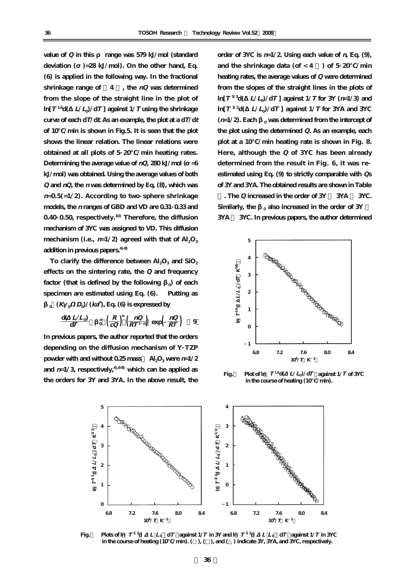value of Q in this range was 579 kJ/mol (standard deviation ( $=28 \text{ kJ/mol}$ ). On the other hand, Eq. **(6) is applied in the following way. In the fractional shrinkage range of <4 %, the nQ was determined from the slope of the straight line in the plot of**  $\ln[T^{1.6}d(L/L)/dT$  **]** against  $1/T$  **using the shrinkage** curve of each  $dT/dt$ . As an example, the plot at a  $dT/dt$ **of 10℃/min is shown in Fig.5. It is seen that the plot shows the linear relation. The linear relations were obtained at all plots of 5 20℃/min heating rates.** Determining the average value of  $nQ$ ,  $280 \text{ kJ/mol}$  ( $=6$ **kJ/mol) was obtained. Using the average values of both Q and nQ, the <sup>n</sup> was determined by Eq. (8), which was <sup>n</sup>=0.5(=1/2). According to two sphere shrinkage models, the <sup>n</sup> ranges of GBD and VD are 0.31 0.33 and 0.40 0.50, respectively.10) Therefore, the diffusion mechanism of 3YC was assigned to VD. This diffusion** mechanism (i.e.,  $n=1/2$ ) agreed with that of  $Al_2O_3$ **addition in previous papers.4)-8)**

To clarify the difference between  $\text{Al}_2\text{O}_3$  and  $\text{SiO}_2$ **effects on the sintering rate, the Q and frequency factor (that is defined by the following )** of each **specimen are estimated using Eq. (6). Putting as**  $0 \times (K \times D_0)/(k\lambda)$ , Eq. (6) is expressed by

$$
\frac{\mathrm{d}(L/L_0)}{\mathrm{d}T} \quad \frac{n}{0} \left(\frac{R}{cQ}\right)^n \left(\frac{nQ}{RT^2 n}\right) \, \exp\!\left(\frac{nQ}{RT}\right) \quad 9
$$

**In previous papers, the author reported that the orders depending on the diffusion mechanism of Y TZP powder with and without 0.25 mass**  $\text{Al}_2\text{O}_3$  were  $n=1/2$ and  $n=1/3$ , respectively,<sup>4,68</sup> which can be applied as **the orders for 3Y and 3YA. In the above result, the**

order of  $3$ YC is  $n=1/2$ . Using each value of  $n$ , Eq. (9), and the shrinkage data (of  $<$  4 ) of 5  $20$  /min **heating rates, the average values of Q were determined from the slopes of the straight lines in the plots of**  $\ln[T^{5/3}d(-L/L)/dT]$  against  $1/T$  for 3Y ( $n=1/3$ ) and  $\ln[T^{3/2}d(-L/L)/dT$  against  $1/T$  for 3YA and 3YC  $(n=1/2)$ . Each  $\alpha$  was determined from the intercept of **the plot using the determined Q. As an example, each plot at a 10℃/min heating rate is shown in Fig. 8. Here, although the Q of 3YC has been already determined from the result in Fig. 6, it was re estimated using Eq. (9) to strictly comparable with Qs of 3Y and 3YA. The obtained results are shown in Table**

**. The Q increased in the order of 3Y > 3YA > 3YC.** Similarly, the <sub>0</sub> also increased in the order of 3Y **3YA > 3YC. In previous papers, the author determined**



**Fig.** Plot of  $\ln T^{1.6}$ d(  $L/L_0$ )/dT against  $1/T$  of 3YC  **in the course of heating (10℃/min).** 



**Fig.** Plots of  $\ln\, T^{5\,3}\mathrm{d}$   $L\,L_0$   $\,\mathrm{d}T$  against 1/T in 3Y and  $\ln\, T^{3\,2}\mathrm{d}$   $L\,L_0$   $\,\mathrm{d}T$  against 1/T in 3YC **in the course of heating (10 /min). (), (), and () indicate 3Y, 3YA, and 3YC, respectively.**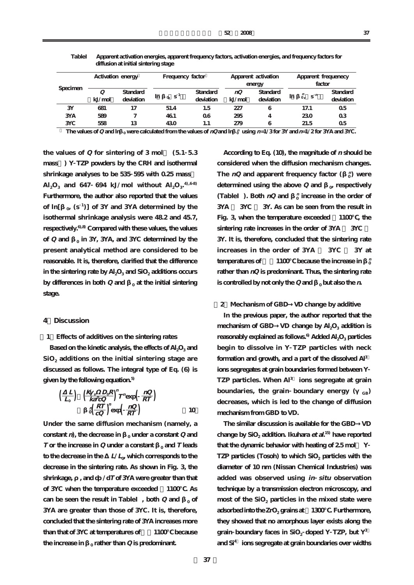| Specimen   | Activation energy |                       | Frequency factor              |                       | Apparent activation<br>energy |                       | Apparent frequenecy<br>factor   |                       |
|------------|-------------------|-----------------------|-------------------------------|-----------------------|-------------------------------|-----------------------|---------------------------------|-----------------------|
|            | Q<br>kJ/mol       | Standard<br>deviation | 0 S <sup>1</sup><br><b>In</b> | Standard<br>deviation | nQ<br>kJ/mol                  | Standard<br>deviation | $\ddot{0}$ , $S^n$<br><b>In</b> | Standard<br>deviation |
| 3Y         | 681               | 17                    | 51.4                          | 1.5                   | 227                           | 6                     | 17.1                            | 0 <sub>5</sub>        |
| <b>3YA</b> | 589               |                       | 461                           | 06                    | 295                           |                       | 230                             | 0 <sub>3</sub>        |
| <b>3YC</b> | 558               | 13                    | 430                           | 1.1                   | 279                           | 6                     | 21.5                            | 0 <sub>5</sub>        |

**TableⅠ Apparent activation energies, apparent frequency factors, activation energies, and frequency factors for diffusion at initial sintering stage** 

**1** The values of Q and ln <sub>0</sub> were calculated from the values of nQ and ln  $\frac{1}{0}$  using n=1/3 for 3Y and n=1/2 for 3YA and 3YC.

the values of  $Q$  for sintering of  $3 \text{ mol}$  (5.1  $5.3$ **mass%) Y TZP powders by the CRH and isothermal shrinkage analyses to be 535 595 with 0.25 mass%**  $\text{Al}_2\text{O}_3$  and 647 694 kJ/mol without  $\text{Al}_2\text{O}_3$ <sup>4,68</sup> **Furthermore, the author also reported that the values of ln[β0, (s <sup>1</sup> )] of 3Y and 3YA determined by the isothermal shrinkage analysis were 48.2 and 45.7, respectively.6),8) Compared with these values, the values** of **Q** and  $\alpha$  in 3Y, 3YA, and 3YC determined by the **present analytical method are considered to be reasonable. It is, therefore, clarified that the difference** in the sintering rate by  $\text{Al}_2\text{O}_3$  and  $\text{SiO}_2$  additions occurs **by differences in both Q and** <sub>0</sub> at the initial sintering **stage.**

# **4.Discussion**

### **[1]Effects of additives on the sintering rates**

Based on the kinetic analysis, the effects of Al<sub>2</sub>O<sub>3</sub> and **SiO2 additions on the initial sintering stage are discussed as follows. The integral type of Eq. (6) is given by the following equation.5)**

$$
\left(\frac{L}{L_0}\right) \quad \left(\frac{K_s}{k a^P C Q}\right)^n T^n \exp\left(\frac{n Q}{R T}\right) \n\frac{n \left(R T\right)}{\left(\frac{R T}{C Q}\right)^n \exp\left(\frac{n Q}{R T}\right)} \tag{10}
$$

**Under the same diffusion mechanism (namely, a constant** *n*), the decrease in  $\alpha$  **under a constant Q** and **T** or the increase in  $Q$  **under a constant**  $\int_0^1$  **and T leads** to the decrease in the  $L/L_0$ , which corresponds to the **decrease in the sintering rate. As shown in Fig. 3, the** shrinkage, and d /d*T* of 3YA were greater than that **of 3YC when the temperature exceeded ~1100℃. As can be seen the result in Table**, both  $Q$  and  $Q$ **3YA are greater than those of 3YC. It is, therefore, concluded that the sintering rate of 3YA increases more than that of 3YC at temperatures of >~1100℃ because the increase in**  $\theta$  **rather than Q is predominant.** 

**According to Eq. (10), the magnitude of <sup>n</sup> should be considered when the diffusion mechanism changes. The** *nQ* **and apparent frequency factor (** $\frac{n}{0}$ **) were** determined using the above  $Q$  and  $\alpha$  respectively **(Table**). Both  $nQ$  and  $\frac{n}{0}$  increase in the order of **3YA > 3YC > 3Y. As can be seen from the result in Fig. 3, when the temperature exceeded ~1100℃, the** sintering rate increases in the order of 3YA 3YC **3Y. It is, therefore, concluded that the sintering rate increases in the order of 3YA > 3YC > 3Y at**  $t$ emperatures of  $\qquad$  1100 $\qquad$  because the increase in  $\frac{n}{0}$ **rather than nQ is predominant. Thus, the sintering rate is controlled by not only the Q and**  $\theta$  **but also the** *n***.** 

# **[2]Mechanism of GBD→VD change by additive**

**In the previous paper, the author reported that the mechanism of GBD** VD change by  $Al_2O_3$  addition is **reasonably explained as follows.6) Added Al2O3 particles begin to dissolve in Y TZP particles with neck formation and growth, and a part of the dissolved Al3+ ions segregates at grain boundaries formed between Y TZP particles. When Al3+ ions segregate at grain boundaries, the grain boundary energy (** $_{GB}$ **) decreases, which is led to the change of diffusion mechanism from GBD to VD.**

**The similar discussion is available for the GBD→VD change by SiO2 addition. Ikuhara et al. 15) have reported that the dynamic behavior with heating of 2.5 mol% Y TZP** particles (Tosoh) to which SiO<sub>2</sub> particles with the **diameter of 10 nm (Nissan Chemical Industries) was added was observed using in situ observation technique by a transmission electron microscopy, and** most of the SiO<sub>2</sub> particles in the mixed state were **adsorbed into the ZrO<sub>2</sub> grains at 1300** . Furthermore, **they showed that no amorphous layer exists along the** grain **boundary** faces in  $SiO<sub>2</sub>$  doped Y TZP, but  $Y<sup>3</sup>$ **and Si4+ ions segregate at grain boundaries over widths**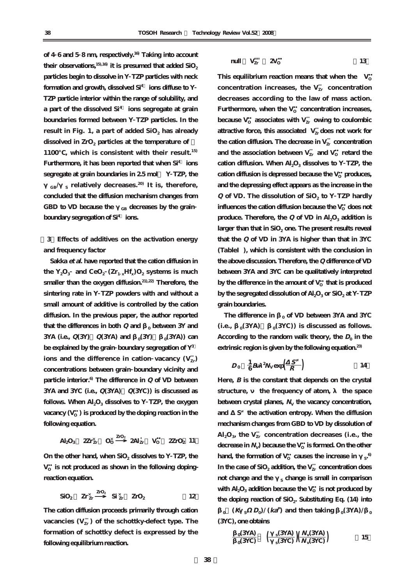**of 4 6 and 5 8 nm, respectively.16) Taking into account** their observations,  $15,16$  it is presumed that added  $SiO<sub>2</sub>$ **particles begin to dissolve in Y TZP particles with neck formation and growth, dissolved Si4+ ions diffuse to Y TZP particle interior within the range of solubility, and a part of the dissolved Si4+ ions segregate at grain boundaries formed between Y TZP particles. In the result in Fig. 1, a part of added SiO<sub>2</sub> has already** dissolved in ZrO<sub>2</sub> particles at the temperature of **1100℃, which is consistent with their result.15) Furthermore, it has been reported that when Si4+ ions segregate at grain boundaries in 2.5 mol% Y TZP, the GB/γS relatively decreases. 20) It is, therefore, concluded that the diffusion mechanism changes from** GBD to VD because the <sub>GB</sub> decreases by the grain **boundary segregation of Si4+ ions.**

**[3]Effects of additives on the activation energy and frequency factor**

**Sakka et al. have reported that the cation diffusion in** the  $Y_2O_3$  and  $CeO_2$   $(Zr_1 \#H_x)O_2$  systems is much **smaller than the oxygen diffusion.21),22) Therefore, the sintering rate in Y TZP powders with and without a small amount of additive is controlled by the cation diffusion. In the previous paper, the author reported** that the differences in both  $Q$  and  $R_0$  between 3Y and **3YA** (i.e.,  $Q(3Y)$   $Q(3YA)$  and  $R_0(3Y)$   $(3YA)$  can **be explained by the grain boundary segregation of Y3+**  $i$  ons and the difference in cation vacancy  $(V_{Zr}^{\text{w}})$ **concentrations between grain boundary vicinity and particle interior.6) The difference in Q of VD between 3YA and 3YC (i.e., Q(3YA)>Q(3YC)) is discussed as** follows. When  $\text{Al}_2\text{O}_3$  dissolves to Y TZP, the oxygen  $\mathsf{vacancy}\left(\mathrm{V}_\mathrm{o}\right)$  is produced by the doping reaction in the **following equation.**

 $\mathsf{Al}_2\mathsf{O}_3$   $\mathbb{Z}\mathbf{r}_{\mathbf{Zr}}^{\times}$   $\mathsf{O}_0^{\times}$   $\mathbb{Z}\mathsf{O}_2$  **2Zr** $\mathsf{O}_2$  **11** 

On the other hand, when  $SiO<sub>2</sub>$  dissolves to Y TZP, the  $\mathrm{V}_\mathrm{O}$  is not produced as shown in the following doping**reaction equation.**

$$
SiO_2 \quad Zr_{Zr}^{\times} \quad {}^{ZrO_2} \quad Si^{\times}_{Zr} \quad ZrO_2 \qquad \qquad 12
$$

**The cation diffusion proceeds primarily through cation**  $\text{vacancies (V}^\text{\tiny \text{UV}}_\text{\tiny Zr})\ \text{of the scholarly-defect type.}$  The **formation of schottky defect is expressed by the following equilibrium reaction.**

$$
\text{null} \quad V_{\text{Zr}}^{\text{III}} \quad \text{2V}_0 \tag{13}
$$

This equilibrium reaction means that when the  $V_0$ concentration increases, the  $V_{Zr}^{m}$  concentration **decreases according to the law of mass action.** Furthermore, when the  $V_{\text{o}}$  concentration increases, because  $\mathrm{V_{\mathrm{o}}}$  associates with  $\mathrm{V}_{\mathrm{Zr}}^{\mathrm{'''}}$  owing to coulombic attractive force, this associated  $V_{Zr}^{\cdots}$  does not work for the cation diffusion. The decrease in  $V_{Zr}^{\text{\tiny (III)}}$  concentration and the association between  $V_{Zr}^{\text{}}$  and  $V_{\text{O}}$  retard the cation diffusion. When  $\text{Al}_2\text{O}_3$  dissolves to Y TZP, the cation diffusion is depressed because the  $V_{\rm o}$  produces, **and the depressing effect appears as the increase in the Q** of VD. The dissolution of SiO<sub>2</sub> to Y TZP hardly  $\frac{1}{2}$  influences the cation diffusion because the  $V_{\mathrm{O}}$  does not produce. Therefore, the  $Q$  of  $VD$  in  $Al_2O_3$  addition is larger than that in SiO<sub>2</sub> one. The present results reveal **that the Q of VD in 3YA is higher than that in 3YC (TableⅠ), which is consistent with the conclusion in the above discussion. Therefore, the Q difference of VD between 3YA and 3YC can be qualitatively interpreted** by the difference in the amount of  $\mathrm{V}_\mathrm{o}\,$  that is produced **by the segregated dissolution of Al2O3 or SiO2 at Y TZP grain boundaries.**

The difference in <sub>0</sub> of VD between 3YA and 3YC (i.e.,  $_0$ (3YA)  $_0$ (3YC)) is discussed as follows. According to the random walk theory, the  $D_0$  in the **extrinsic region is given by the following equation.23)**

$$
D_0 \quad \frac{1}{6} B \quad {}^2\!N_V \exp\!\left(\frac{S}{R}\right) \tag{14}
$$

**Here, B is the constant that depends on the crystal** structure, the frequency of atom, the space between crystal planes,  $N_v$  the vacancy concentration, and S the activation entropy. When the diffusion **mechanism changes from GBD to VD by dissolution of**  $\mathrm{Al}_2\mathrm{O}_3$  the  $\mathrm{V}^\text{max}_{\mathrm{Zr}}$  concentration decreases (i.e., the  $\epsilon$  decrease in  $N_\mathrm{V}$ ) because the  $\mathrm{V}_\mathrm{O}$  is formed. On the other  $\mu$  hand, the formation of V<sub>o</sub> causes the increase in  $\mu$ s. In the case of  $\mathrm{SiO}_2$  addition, the  $\mathrm{V}_{\mathrm{Zr}}^{\mathrm{m}}$  concentration does **not change and the** <sub>s</sub> **change is small in comparison** with  $\mathrm{Al}_2\mathrm{O}_3$  addition because the  $\mathrm{V}_\mathrm{O}$  is not produced by the doping reaction of SiO<sub>2</sub>. Substituting Eq. (14) into  $\mathbf{K}$  **C**  $(\mathbf{K} \times \mathbf{D}_0) / (\mathbf{k} \mathbf{a}^p)$  and then taking  $\mathbf{K}(\mathbf{X}|\mathbf{A})$ **(3YC), one obtains**

$$
\frac{0.03 \text{A}}{0.03 \text{C}} \left( \frac{s(3 \text{A})}{s(3 \text{C})} \right) \left( \frac{N_{\text{v}}(3 \text{A})}{N_{\text{v}}(3 \text{C})} \right) \tag{15}
$$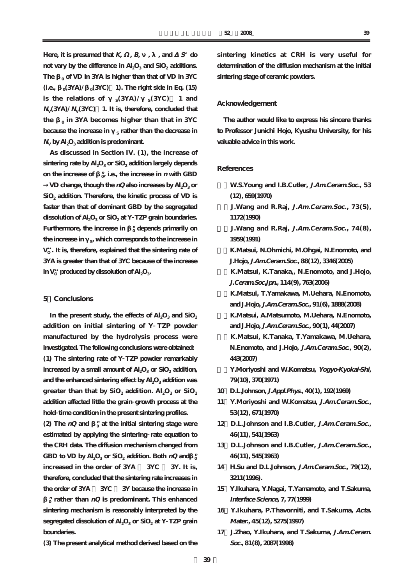Here, it is presumed that  $K$ ,  $B$ ,  $B$ ,  $A$ , and  $S$  do **not vary by the difference in Al<sub>2</sub>O<sub>3</sub> and SiO<sub>2</sub> additions.** The <sub>0</sub> of VD in 3YA is higher than that of VD in 3YC (i.e.,  $_0$ (3YA)/ $_0$ (3YC) 1). The right side in Eq. (15) is the relations of  $s(SYA)/s(SYC)$  1 and  $N_{\text{V}}(3YA)/N_{\text{V}}(3YC)$  1. It is, therefore, concluded that **the β0 in 3YA becomes higher than that in 3YC because the increase in**  $\frac{1}{S}$  **rather than the decrease in**  $N_{\text{V}}$  by Al<sub>2</sub>O<sub>3</sub> addition is predominant.

**As discussed in Section IV. (1), the increase of** sintering rate by Al<sub>2</sub>O<sub>3</sub> or SiO<sub>2</sub> addition largely depends **on the increase of**  $\alpha$ <sup>*n*</sup>, i.e., the increase in *n* with GBD

 $VD$  change, though the  $nQ$  also increases by  $Al_2O_3$  or **SiO2 addition. Therefore, the kinetic process of VD is faster than that of dominant GBD by the segregated** dissolution of Al<sub>2</sub>O<sub>3</sub> or SiO<sub>2</sub> at Y TZP grain boundaries. **Furthermore, the increase in**  $\frac{n}{0}$  depends primarily on the increase in <sub>9</sub>, which corresponds to the increase in  $\mathrm{V_{\mathrm{o}}}$  . It is, therefore, explained that the sintering rate of **3YA is greater than that of 3YC because of the increase** in  $\mathrm{V}_\mathrm{o}$  produced by dissolution of  $\mathrm{Al}_2\mathrm{O}_3$ .

# **5.Conclusions**

In the present study, the effects of  $\text{Al}_2\text{O}_3$  and  $\text{SiO}_2$ **addition on initial sintering of Y TZP powder manufactured by the hydrolysis process were investigated. The following conclusions were obtained: (1) The sintering rate of Y TZP powder remarkably** increased by a small amount of  $\text{Al}_2\text{O}_3$  or  $\text{SiO}_2$  addition, and the enhanced sintering effect by Al<sub>2</sub>O<sub>3</sub> addition was **greater than that by**  $SiO_2$  **addition.**  $Al_2O_3$  or  $SiO_2$ **addition affected little the grain growth process at the hold time condition in the present sintering profiles.**

**(2)** The  $nQ$  and  $\frac{n}{0}$  at the initial sintering stage were **estimated by applying the sintering rate equation to the CRH data. The diffusion mechanism changed from GBD** to VD by  $\mathsf{Al}_2\mathsf{O}_3$  or SiO<sub>2</sub> addition. Both  $nQ$  and  $\frac{n}{0}$ **increased in the order of 3YA > 3YC > 3Y. It is, therefore, concluded that the sintering rate increases in the order of 3YA > 3YC > 3Y because the increase in**

**0 <sup>n</sup> rather than nQ is predominant. This enhanced sintering mechanism is reasonably interpreted by the segregated dissolution of Al<sub>2</sub>O<sub>3</sub> or SiO<sub>2</sub> at Y TZP grain boundaries.**

**(3) The present analytical method derived based on the**

**sintering kinetics at CRH is very useful for determination of the diffusion mechanism at the initial sintering stage of ceramic powders.**

# **Acknowledgement**

**The author would like to express his sincere thanks to Professor Junichi Hojo, Kyushu University, for his valuable advice in this work.**

# **References**

- **1)W.S.Young and I.B.Cutler, J.Am.Ceram.Soc., 53 (12), 659(1970) 2)J.Wang and R.Raj, J.Am.Ceram.Soc., 73(5), 1172(1990) 3)J.Wang and R.Raj, J.Am.Ceram.Soc., 74(8), 1959(1991) 4)K.Matsui, N.Ohmichi, M.Ohgai, N.Enomoto, and J.Hojo, J.Am.Ceram.Soc., 88(12), 3346(2005) 5)K.Matsui, K.Tanaka,, N.Enomoto, and J.Hojo, J.Ceram.Soc.Jpn., 114(9), 763(2006) 6)K.Matsui, T.Yamakawa, M.Uehara, N.Enomoto, and J.Hojo, J.Am.Ceram.Soc., 91(6), 1888(2008) 7)K.Matsui, A.Matsumoto, M.Uehara, N.Enomoto, and J.Hojo, J.Am.Ceram.Soc., 90(1), 44(2007) 8)K.Matsui, K.Tanaka, T.Yamakawa, M.Uehara, N.Enomoto, and J.Hojo, J.Am.Ceram.Soc., 90(2), 443(2007) 9)Y.Moriyoshi and W.Komatsu, Yogyo-Kyokai-Shi, 79(10), 370(1971)**
- **10)D.L.Johnson, J.Appl.Phys., 40(1), 192(1969)**
- **11)Y.Moriyoshi and W.Komatsu, J.Am.Ceram.Soc., 53(12), 671(1970)**
- **12)D.L.Johnson and I.B.Cutler, J.Am.Ceram.Soc., 46(11), 541(1963)**
- **13)D.L.Johnson and I.B.Cutler, J.Am.Ceram.Soc., 46(11), 545(1963)**
- **14)H.Su and D.L.Johnson, J.Am.Ceram.Soc., 79(12), 3211(1996).**
- **15)Y.Ikuhara, Y.Nagai, T.Yamamoto, and T.Sakuma, Interface Science, 7, 77(1999)**
- **16)Y.Ikuhara, P.Thavorniti, and T.Sakuma, Acta. Mater., 45(12), 5275(1997)**
- **17)J.Zhao, Y.Ikuhara, and T.Sakuma, J.Am.Ceram. Soc., 81(8), 2087(1998)**